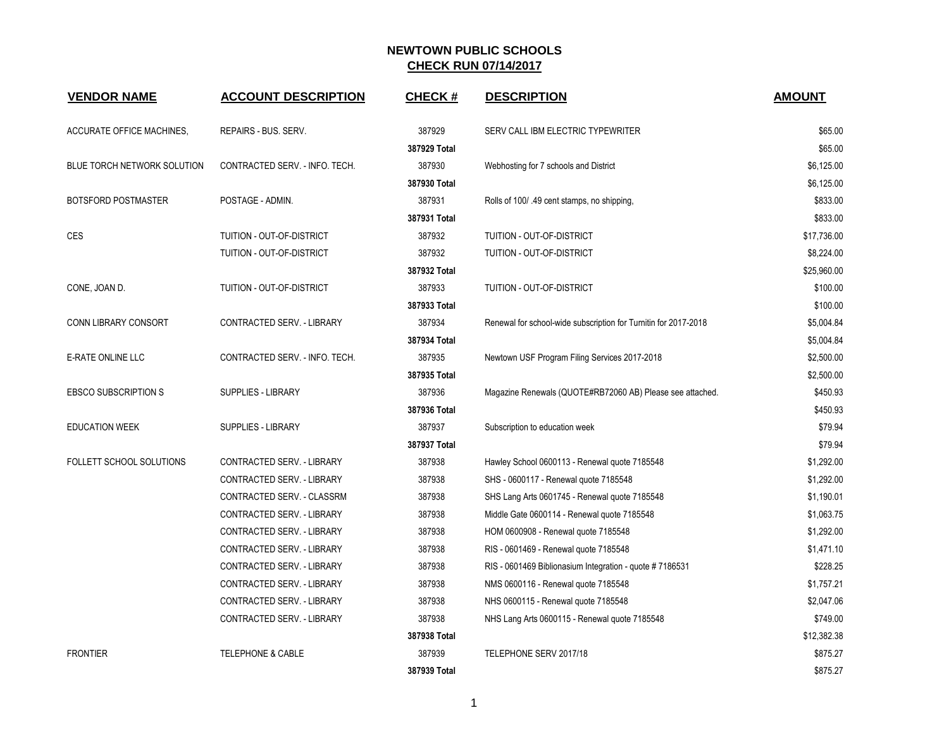| <b>VENDOR NAME</b>          | <b>ACCOUNT DESCRIPTION</b>     | <b>CHECK#</b> | <b>DESCRIPTION</b>                                              | <b>AMOUNT</b> |
|-----------------------------|--------------------------------|---------------|-----------------------------------------------------------------|---------------|
| ACCURATE OFFICE MACHINES,   | REPAIRS - BUS. SERV.           | 387929        | SERV CALL IBM ELECTRIC TYPEWRITER                               | \$65.00       |
|                             |                                | 387929 Total  |                                                                 | \$65.00       |
| BLUE TORCH NETWORK SOLUTION | CONTRACTED SERV. - INFO. TECH. | 387930        | Webhosting for 7 schools and District                           | \$6,125.00    |
|                             |                                | 387930 Total  |                                                                 | \$6,125.00    |
| <b>BOTSFORD POSTMASTER</b>  | POSTAGE - ADMIN.               | 387931        | Rolls of 100/ 49 cent stamps, no shipping,                      | \$833.00      |
|                             |                                | 387931 Total  |                                                                 | \$833.00      |
| <b>CES</b>                  | TUITION - OUT-OF-DISTRICT      | 387932        | TUITION - OUT-OF-DISTRICT                                       | \$17,736.00   |
|                             | TUITION - OUT-OF-DISTRICT      | 387932        | TUITION - OUT-OF-DISTRICT                                       | \$8,224.00    |
|                             |                                | 387932 Total  |                                                                 | \$25,960.00   |
| CONE, JOAN D.               | TUITION - OUT-OF-DISTRICT      | 387933        | TUITION - OUT-OF-DISTRICT                                       | \$100.00      |
|                             |                                | 387933 Total  |                                                                 | \$100.00      |
| CONN LIBRARY CONSORT        | CONTRACTED SERV. - LIBRARY     | 387934        | Renewal for school-wide subscription for Turnitin for 2017-2018 | \$5,004.84    |
|                             |                                | 387934 Total  |                                                                 | \$5,004.84    |
| E-RATE ONLINE LLC           | CONTRACTED SERV. - INFO. TECH. | 387935        | Newtown USF Program Filing Services 2017-2018                   | \$2,500.00    |
|                             |                                | 387935 Total  |                                                                 | \$2,500.00    |
| <b>EBSCO SUBSCRIPTION S</b> | SUPPLIES - LIBRARY             | 387936        | Magazine Renewals (QUOTE#RB72060 AB) Please see attached.       | \$450.93      |
|                             |                                | 387936 Total  |                                                                 | \$450.93      |
| <b>EDUCATION WEEK</b>       | <b>SUPPLIES - LIBRARY</b>      | 387937        | Subscription to education week                                  | \$79.94       |
|                             |                                | 387937 Total  |                                                                 | \$79.94       |
| FOLLETT SCHOOL SOLUTIONS    | CONTRACTED SERV. - LIBRARY     | 387938        | Hawley School 0600113 - Renewal quote 7185548                   | \$1,292.00    |
|                             | CONTRACTED SERV. - LIBRARY     | 387938        | SHS - 0600117 - Renewal quote 7185548                           | \$1,292.00    |
|                             | CONTRACTED SERV. - CLASSRM     | 387938        | SHS Lang Arts 0601745 - Renewal quote 7185548                   | \$1,190.01    |
|                             | CONTRACTED SERV. - LIBRARY     | 387938        | Middle Gate 0600114 - Renewal quote 7185548                     | \$1,063.75    |
|                             | CONTRACTED SERV. - LIBRARY     | 387938        | HOM 0600908 - Renewal quote 7185548                             | \$1,292.00    |
|                             | CONTRACTED SERV. - LIBRARY     | 387938        | RIS - 0601469 - Renewal quote 7185548                           | \$1,471.10    |
|                             | CONTRACTED SERV. - LIBRARY     | 387938        | RIS - 0601469 Biblionasium Integration - quote #7186531         | \$228.25      |
|                             | CONTRACTED SERV. - LIBRARY     | 387938        | NMS 0600116 - Renewal quote 7185548                             | \$1,757.21    |
|                             | CONTRACTED SERV. - LIBRARY     | 387938        | NHS 0600115 - Renewal quote 7185548                             | \$2,047.06    |
|                             | CONTRACTED SERV. - LIBRARY     | 387938        | NHS Lang Arts 0600115 - Renewal quote 7185548                   | \$749.00      |
|                             |                                | 387938 Total  |                                                                 | \$12,382.38   |
| <b>FRONTIER</b>             | <b>TELEPHONE &amp; CABLE</b>   | 387939        | TELEPHONE SERV 2017/18                                          | \$875.27      |
|                             |                                | 387939 Total  |                                                                 | \$875.27      |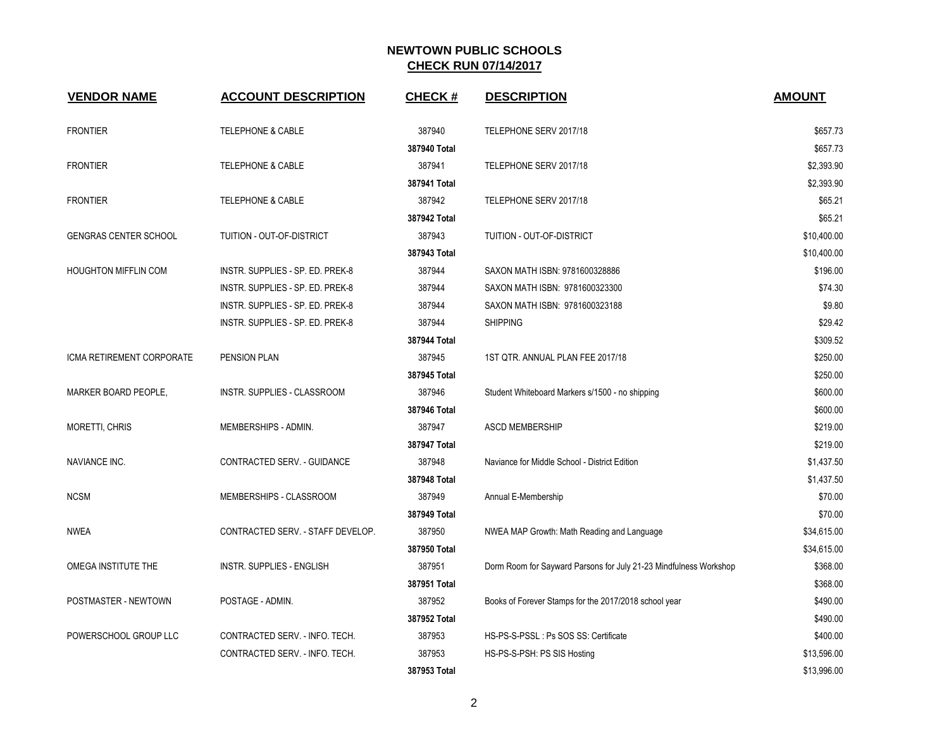| <b>VENDOR NAME</b>           | <b>ACCOUNT DESCRIPTION</b>         | <b>CHECK#</b> | <b>DESCRIPTION</b>                                                | <b>AMOUNT</b> |
|------------------------------|------------------------------------|---------------|-------------------------------------------------------------------|---------------|
| <b>FRONTIER</b>              | <b>TELEPHONE &amp; CABLE</b>       | 387940        | TELEPHONE SERV 2017/18                                            | \$657.73      |
|                              |                                    | 387940 Total  |                                                                   | \$657.73      |
| <b>FRONTIER</b>              | <b>TELEPHONE &amp; CABLE</b>       | 387941        | TELEPHONE SERV 2017/18                                            | \$2,393.90    |
|                              |                                    | 387941 Total  |                                                                   | \$2,393.90    |
| <b>FRONTIER</b>              | <b>TELEPHONE &amp; CABLE</b>       | 387942        | TELEPHONE SERV 2017/18                                            | \$65.21       |
|                              |                                    | 387942 Total  |                                                                   | \$65.21       |
| <b>GENGRAS CENTER SCHOOL</b> | TUITION - OUT-OF-DISTRICT          | 387943        | TUITION - OUT-OF-DISTRICT                                         | \$10,400.00   |
|                              |                                    | 387943 Total  |                                                                   | \$10,400.00   |
| <b>HOUGHTON MIFFLIN COM</b>  | INSTR. SUPPLIES - SP. ED. PREK-8   | 387944        | SAXON MATH ISBN: 9781600328886                                    | \$196.00      |
|                              | INSTR. SUPPLIES - SP. ED. PREK-8   | 387944        | SAXON MATH ISBN: 9781600323300                                    | \$74.30       |
|                              | INSTR. SUPPLIES - SP. ED. PREK-8   | 387944        | SAXON MATH ISBN: 9781600323188                                    | \$9.80        |
|                              | INSTR. SUPPLIES - SP. ED. PREK-8   | 387944        | <b>SHIPPING</b>                                                   | \$29.42       |
|                              |                                    | 387944 Total  |                                                                   | \$309.52      |
| ICMA RETIREMENT CORPORATE    | PENSION PLAN                       | 387945        | 1ST QTR. ANNUAL PLAN FEE 2017/18                                  | \$250.00      |
|                              |                                    | 387945 Total  |                                                                   | \$250.00      |
| MARKER BOARD PEOPLE,         | <b>INSTR. SUPPLIES - CLASSROOM</b> | 387946        | Student Whiteboard Markers s/1500 - no shipping                   | \$600.00      |
|                              |                                    | 387946 Total  |                                                                   | \$600.00      |
| <b>MORETTI, CHRIS</b>        | MEMBERSHIPS - ADMIN.               | 387947        | <b>ASCD MEMBERSHIP</b>                                            | \$219.00      |
|                              |                                    | 387947 Total  |                                                                   | \$219.00      |
| NAVIANCE INC.                | CONTRACTED SERV. - GUIDANCE        | 387948        | Naviance for Middle School - District Edition                     | \$1,437.50    |
|                              |                                    | 387948 Total  |                                                                   | \$1,437.50    |
| <b>NCSM</b>                  | MEMBERSHIPS - CLASSROOM            | 387949        | Annual E-Membership                                               | \$70.00       |
|                              |                                    | 387949 Total  |                                                                   | \$70.00       |
| <b>NWEA</b>                  | CONTRACTED SERV. - STAFF DEVELOP.  | 387950        | NWEA MAP Growth: Math Reading and Language                        | \$34,615.00   |
|                              |                                    | 387950 Total  |                                                                   | \$34,615.00   |
| OMEGA INSTITUTE THE          | <b>INSTR. SUPPLIES - ENGLISH</b>   | 387951        | Dorm Room for Sayward Parsons for July 21-23 Mindfulness Workshop | \$368.00      |
|                              |                                    | 387951 Total  |                                                                   | \$368.00      |
| POSTMASTER - NEWTOWN         | POSTAGE - ADMIN.                   | 387952        | Books of Forever Stamps for the 2017/2018 school year             | \$490.00      |
|                              |                                    | 387952 Total  |                                                                   | \$490.00      |
| POWERSCHOOL GROUP LLC        | CONTRACTED SERV. - INFO. TECH.     | 387953        | HS-PS-S-PSSL : Ps SOS SS: Certificate                             | \$400.00      |
|                              | CONTRACTED SERV. - INFO. TECH.     | 387953        | HS-PS-S-PSH: PS SIS Hosting                                       | \$13,596.00   |
|                              |                                    | 387953 Total  |                                                                   | \$13,996.00   |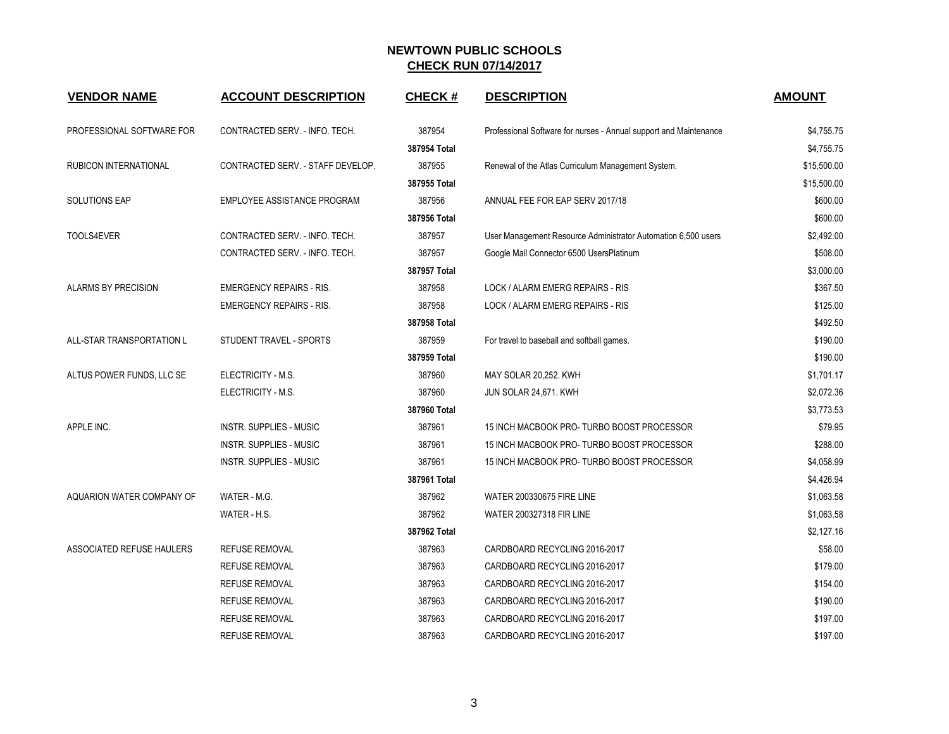| <b>VENDOR NAME</b>         | <b>ACCOUNT DESCRIPTION</b>        | <b>CHECK#</b> | <b>DESCRIPTION</b>                                                | <b>AMOUNT</b> |
|----------------------------|-----------------------------------|---------------|-------------------------------------------------------------------|---------------|
| PROFESSIONAL SOFTWARE FOR  | CONTRACTED SERV. - INFO. TECH.    | 387954        | Professional Software for nurses - Annual support and Maintenance | \$4,755.75    |
|                            |                                   | 387954 Total  |                                                                   | \$4,755.75    |
| RUBICON INTERNATIONAL      | CONTRACTED SERV. - STAFF DEVELOP. | 387955        | Renewal of the Atlas Curriculum Management System.                | \$15,500.00   |
|                            |                                   | 387955 Total  |                                                                   | \$15,500.00   |
| <b>SOLUTIONS EAP</b>       | EMPLOYEE ASSISTANCE PROGRAM       | 387956        | ANNUAL FEE FOR EAP SERV 2017/18                                   | \$600.00      |
|                            |                                   | 387956 Total  |                                                                   | \$600.00      |
| TOOLS4EVER                 | CONTRACTED SERV. - INFO. TECH.    | 387957        | User Management Resource Administrator Automation 6,500 users     | \$2,492.00    |
|                            | CONTRACTED SERV. - INFO. TECH.    | 387957        | Google Mail Connector 6500 UsersPlatinum                          | \$508.00      |
|                            |                                   | 387957 Total  |                                                                   | \$3,000.00    |
| <b>ALARMS BY PRECISION</b> | <b>EMERGENCY REPAIRS - RIS.</b>   | 387958        | LOCK / ALARM EMERG REPAIRS - RIS                                  | \$367.50      |
|                            | <b>EMERGENCY REPAIRS - RIS.</b>   | 387958        | LOCK / ALARM EMERG REPAIRS - RIS                                  | \$125.00      |
|                            |                                   | 387958 Total  |                                                                   | \$492.50      |
| ALL-STAR TRANSPORTATION L  | STUDENT TRAVEL - SPORTS           | 387959        | For travel to baseball and softball games.                        | \$190.00      |
|                            |                                   | 387959 Total  |                                                                   | \$190.00      |
| ALTUS POWER FUNDS, LLC SE  | ELECTRICITY - M.S.                | 387960        | MAY SOLAR 20,252. KWH                                             | \$1,701.17    |
|                            | ELECTRICITY - M.S.                | 387960        | JUN SOLAR 24,671. KWH                                             | \$2,072.36    |
|                            |                                   | 387960 Total  |                                                                   | \$3,773.53    |
| APPLE INC.                 | <b>INSTR. SUPPLIES - MUSIC</b>    | 387961        | 15 INCH MACBOOK PRO-TURBO BOOST PROCESSOR                         | \$79.95       |
|                            | <b>INSTR. SUPPLIES - MUSIC</b>    | 387961        | 15 INCH MACBOOK PRO-TURBO BOOST PROCESSOR                         | \$288.00      |
|                            | <b>INSTR. SUPPLIES - MUSIC</b>    | 387961        | 15 INCH MACBOOK PRO-TURBO BOOST PROCESSOR                         | \$4,058.99    |
|                            |                                   | 387961 Total  |                                                                   | \$4,426.94    |
| AQUARION WATER COMPANY OF  | WATER - M.G.                      | 387962        | <b>WATER 200330675 FIRE LINE</b>                                  | \$1,063.58    |
|                            | WATER - H.S.                      | 387962        | <b>WATER 200327318 FIR LINE</b>                                   | \$1,063.58    |
|                            |                                   | 387962 Total  |                                                                   | \$2,127.16    |
| ASSOCIATED REFUSE HAULERS  | REFUSE REMOVAL                    | 387963        | CARDBOARD RECYCLING 2016-2017                                     | \$58.00       |
|                            | <b>REFUSE REMOVAL</b>             | 387963        | CARDBOARD RECYCLING 2016-2017                                     | \$179.00      |
|                            | REFUSE REMOVAL                    | 387963        | CARDBOARD RECYCLING 2016-2017                                     | \$154.00      |
|                            | <b>REFUSE REMOVAL</b>             | 387963        | CARDBOARD RECYCLING 2016-2017                                     | \$190.00      |
|                            | <b>REFUSE REMOVAL</b>             | 387963        | CARDBOARD RECYCLING 2016-2017                                     | \$197.00      |
|                            | <b>REFUSE REMOVAL</b>             | 387963        | CARDBOARD RECYCLING 2016-2017                                     | \$197.00      |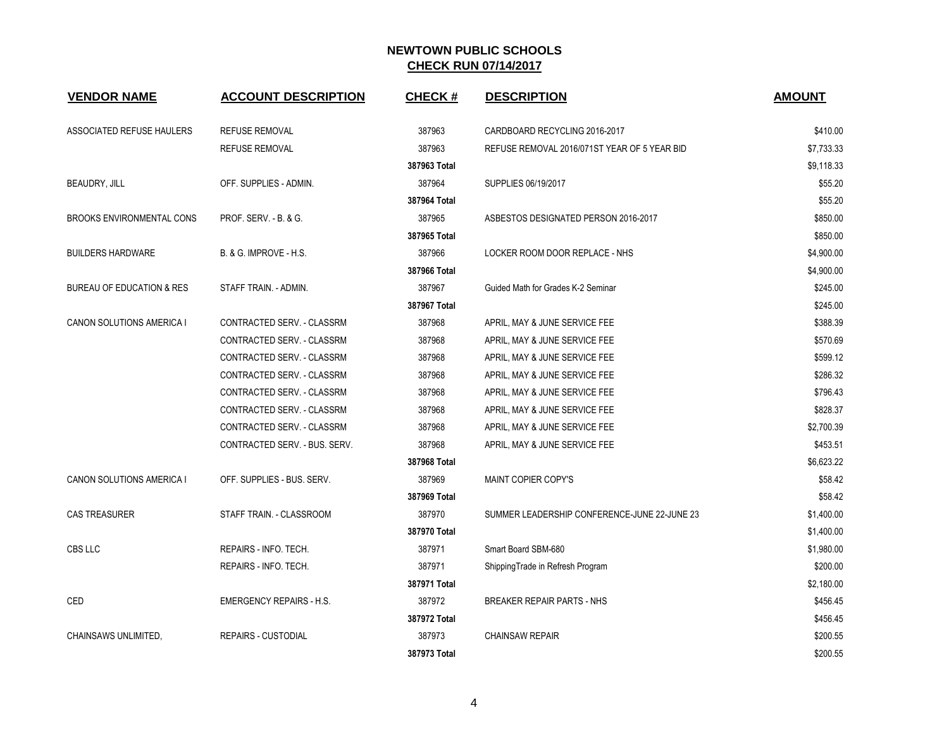| <b>VENDOR NAME</b>                   | <b>ACCOUNT DESCRIPTION</b>      | <b>CHECK#</b> | <b>DESCRIPTION</b>                           | <b>AMOUNT</b> |
|--------------------------------------|---------------------------------|---------------|----------------------------------------------|---------------|
| ASSOCIATED REFUSE HAULERS            | <b>REFUSE REMOVAL</b>           | 387963        | CARDBOARD RECYCLING 2016-2017                | \$410.00      |
|                                      | <b>REFUSE REMOVAL</b>           | 387963        | REFUSE REMOVAL 2016/071ST YEAR OF 5 YEAR BID | \$7,733.33    |
|                                      |                                 | 387963 Total  |                                              | \$9,118.33    |
| BEAUDRY, JILL                        | OFF. SUPPLIES - ADMIN.          | 387964        | SUPPLIES 06/19/2017                          | \$55.20       |
|                                      |                                 | 387964 Total  |                                              | \$55.20       |
| <b>BROOKS ENVIRONMENTAL CONS</b>     | PROF. SERV. - B. & G.           | 387965        | ASBESTOS DESIGNATED PERSON 2016-2017         | \$850.00      |
|                                      |                                 | 387965 Total  |                                              | \$850.00      |
| <b>BUILDERS HARDWARE</b>             | B. & G. IMPROVE - H.S.          | 387966        | LOCKER ROOM DOOR REPLACE - NHS               | \$4,900.00    |
|                                      |                                 | 387966 Total  |                                              | \$4,900.00    |
| <b>BUREAU OF EDUCATION &amp; RES</b> | STAFF TRAIN. - ADMIN.           | 387967        | Guided Math for Grades K-2 Seminar           | \$245.00      |
|                                      |                                 | 387967 Total  |                                              | \$245.00      |
| CANON SOLUTIONS AMERICA I            | CONTRACTED SERV. - CLASSRM      | 387968        | APRIL, MAY & JUNE SERVICE FEE                | \$388.39      |
|                                      | CONTRACTED SERV. - CLASSRM      | 387968        | APRIL, MAY & JUNE SERVICE FEE                | \$570.69      |
|                                      | CONTRACTED SERV. - CLASSRM      | 387968        | APRIL, MAY & JUNE SERVICE FEE                | \$599.12      |
|                                      | CONTRACTED SERV. - CLASSRM      | 387968        | APRIL, MAY & JUNE SERVICE FEE                | \$286.32      |
|                                      | CONTRACTED SERV. - CLASSRM      | 387968        | APRIL, MAY & JUNE SERVICE FEE                | \$796.43      |
|                                      | CONTRACTED SERV. - CLASSRM      | 387968        | APRIL, MAY & JUNE SERVICE FEE                | \$828.37      |
|                                      | CONTRACTED SERV. - CLASSRM      | 387968        | APRIL, MAY & JUNE SERVICE FEE                | \$2,700.39    |
|                                      | CONTRACTED SERV. - BUS. SERV.   | 387968        | APRIL, MAY & JUNE SERVICE FEE                | \$453.51      |
|                                      |                                 | 387968 Total  |                                              | \$6,623.22    |
| <b>CANON SOLUTIONS AMERICA I</b>     | OFF. SUPPLIES - BUS. SERV.      | 387969        | MAINT COPIER COPY'S                          | \$58.42       |
|                                      |                                 | 387969 Total  |                                              | \$58.42       |
| <b>CAS TREASURER</b>                 | STAFF TRAIN. - CLASSROOM        | 387970        | SUMMER LEADERSHIP CONFERENCE-JUNE 22-JUNE 23 | \$1,400.00    |
|                                      |                                 | 387970 Total  |                                              | \$1,400.00    |
| CBS LLC                              | REPAIRS - INFO. TECH.           | 387971        | Smart Board SBM-680                          | \$1,980.00    |
|                                      | REPAIRS - INFO. TECH.           | 387971        | ShippingTrade in Refresh Program             | \$200.00      |
|                                      |                                 | 387971 Total  |                                              | \$2,180.00    |
| CED                                  | <b>EMERGENCY REPAIRS - H.S.</b> | 387972        | <b>BREAKER REPAIR PARTS - NHS</b>            | \$456.45      |
|                                      |                                 | 387972 Total  |                                              | \$456.45      |
| CHAINSAWS UNLIMITED.                 | <b>REPAIRS - CUSTODIAL</b>      | 387973        | <b>CHAINSAW REPAIR</b>                       | \$200.55      |
|                                      |                                 | 387973 Total  |                                              | \$200.55      |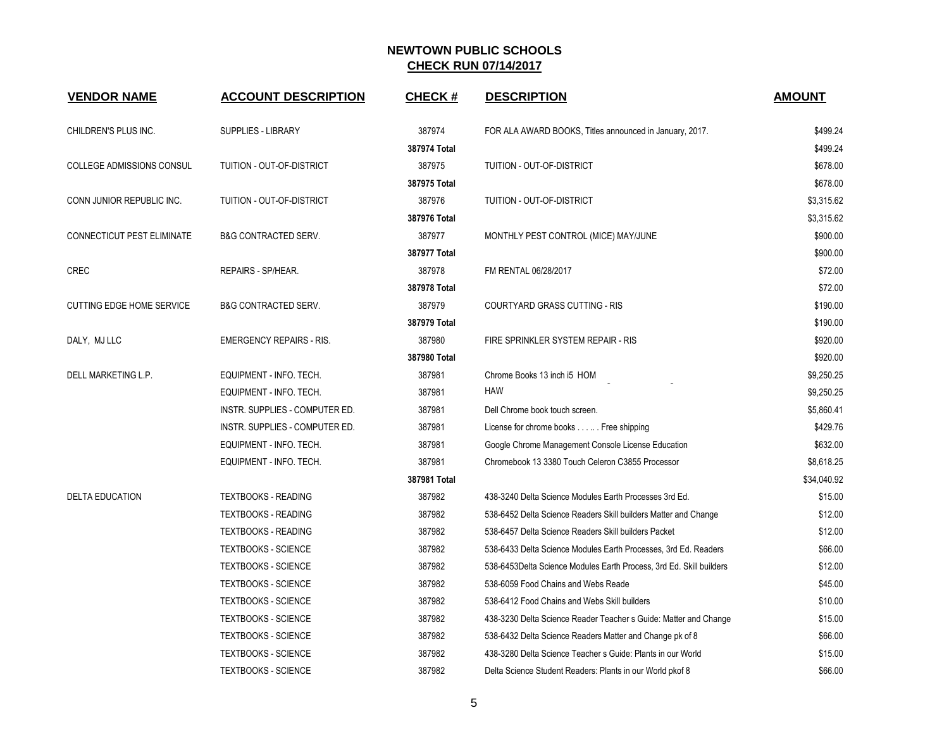| <b>VENDOR NAME</b>               | <b>ACCOUNT DESCRIPTION</b>       | <b>CHECK#</b> | <b>DESCRIPTION</b>                                                  | <b>AMOUNT</b> |
|----------------------------------|----------------------------------|---------------|---------------------------------------------------------------------|---------------|
| CHILDREN'S PLUS INC.             | <b>SUPPLIES - LIBRARY</b>        | 387974        | FOR ALA AWARD BOOKS, Titles announced in January, 2017.             | \$499.24      |
|                                  |                                  | 387974 Total  |                                                                     | \$499.24      |
| <b>COLLEGE ADMISSIONS CONSUL</b> | <b>TUITION - OUT-OF-DISTRICT</b> | 387975        | TUITION - OUT-OF-DISTRICT                                           | \$678.00      |
|                                  |                                  | 387975 Total  |                                                                     | \$678.00      |
| CONN JUNIOR REPUBLIC INC.        | TUITION - OUT-OF-DISTRICT        | 387976        | TUITION - OUT-OF-DISTRICT                                           | \$3,315.62    |
|                                  |                                  | 387976 Total  |                                                                     | \$3,315.62    |
| CONNECTICUT PEST ELIMINATE       | <b>B&amp;G CONTRACTED SERV.</b>  | 387977        | MONTHLY PEST CONTROL (MICE) MAY/JUNE                                | \$900.00      |
|                                  |                                  | 387977 Total  |                                                                     | \$900.00      |
| CREC                             | REPAIRS - SP/HEAR.               | 387978        | FM RENTAL 06/28/2017                                                | \$72.00       |
|                                  |                                  | 387978 Total  |                                                                     | \$72.00       |
| <b>CUTTING EDGE HOME SERVICE</b> | <b>B&amp;G CONTRACTED SERV.</b>  | 387979        | <b>COURTYARD GRASS CUTTING - RIS</b>                                | \$190.00      |
|                                  |                                  | 387979 Total  |                                                                     | \$190.00      |
| DALY, MJ LLC                     | <b>EMERGENCY REPAIRS - RIS.</b>  | 387980        | FIRE SPRINKLER SYSTEM REPAIR - RIS                                  | \$920.00      |
|                                  |                                  | 387980 Total  |                                                                     | \$920.00      |
| DELL MARKETING L.P.              | EQUIPMENT - INFO. TECH.          | 387981        | Chrome Books 13 inch i5 HOM                                         | \$9,250.25    |
|                                  | EQUIPMENT - INFO. TECH.          | 387981        | <b>HAW</b>                                                          | \$9,250.25    |
|                                  | INSTR. SUPPLIES - COMPUTER ED.   | 387981        | Dell Chrome book touch screen.                                      | \$5,860.41    |
|                                  | INSTR. SUPPLIES - COMPUTER ED.   | 387981        | License for chrome books Free shipping                              | \$429.76      |
|                                  | EQUIPMENT - INFO. TECH.          | 387981        | Google Chrome Management Console License Education                  | \$632.00      |
|                                  | EQUIPMENT - INFO. TECH.          | 387981        | Chromebook 13 3380 Touch Celeron C3855 Processor                    | \$8,618.25    |
|                                  |                                  | 387981 Total  |                                                                     | \$34,040.92   |
| <b>DELTA EDUCATION</b>           | <b>TEXTBOOKS - READING</b>       | 387982        | 438-3240 Delta Science Modules Earth Processes 3rd Ed.              | \$15.00       |
|                                  | <b>TEXTBOOKS - READING</b>       | 387982        | 538-6452 Delta Science Readers Skill builders Matter and Change     | \$12.00       |
|                                  | <b>TEXTBOOKS - READING</b>       | 387982        | 538-6457 Delta Science Readers Skill builders Packet                | \$12.00       |
|                                  | <b>TEXTBOOKS - SCIENCE</b>       | 387982        | 538-6433 Delta Science Modules Earth Processes, 3rd Ed. Readers     | \$66.00       |
|                                  | <b>TEXTBOOKS - SCIENCE</b>       | 387982        | 538-6453Delta Science Modules Earth Process, 3rd Ed. Skill builders | \$12.00       |
|                                  | <b>TEXTBOOKS - SCIENCE</b>       | 387982        | 538-6059 Food Chains and Webs Reade                                 | \$45.00       |
|                                  | <b>TEXTBOOKS - SCIENCE</b>       | 387982        | 538-6412 Food Chains and Webs Skill builders                        | \$10.00       |
|                                  | <b>TEXTBOOKS - SCIENCE</b>       | 387982        | 438-3230 Delta Science Reader Teacher s Guide: Matter and Change    | \$15.00       |
|                                  | <b>TEXTBOOKS - SCIENCE</b>       | 387982        | 538-6432 Delta Science Readers Matter and Change pk of 8            | \$66.00       |
|                                  | <b>TEXTBOOKS - SCIENCE</b>       | 387982        | 438-3280 Delta Science Teacher s Guide: Plants in our World         | \$15.00       |
|                                  | <b>TEXTBOOKS - SCIENCE</b>       | 387982        | Delta Science Student Readers: Plants in our World pkof 8           | \$66.00       |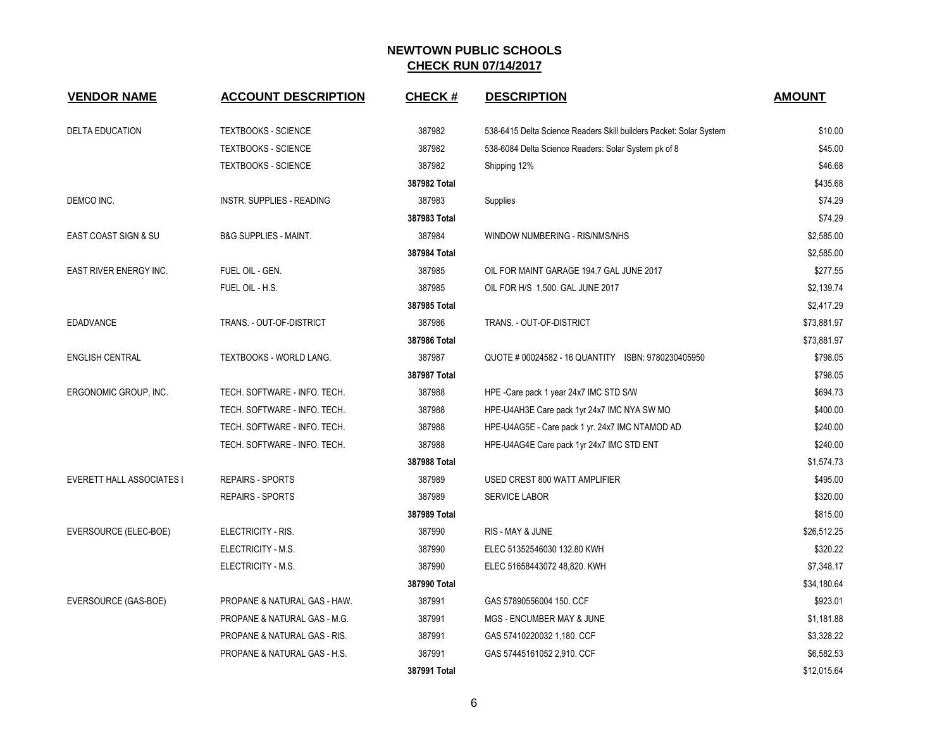| <b>VENDOR NAME</b>               | <b>ACCOUNT DESCRIPTION</b>       | <b>CHECK#</b> | <b>DESCRIPTION</b>                                                 | <b>AMOUNT</b> |
|----------------------------------|----------------------------------|---------------|--------------------------------------------------------------------|---------------|
| <b>DELTA EDUCATION</b>           | <b>TEXTBOOKS - SCIENCE</b>       | 387982        | 538-6415 Delta Science Readers Skill builders Packet: Solar System | \$10.00       |
|                                  | <b>TEXTBOOKS - SCIENCE</b>       | 387982        | 538-6084 Delta Science Readers: Solar System pk of 8               | \$45.00       |
|                                  | <b>TEXTBOOKS - SCIENCE</b>       | 387982        | Shipping 12%                                                       | \$46.68       |
|                                  |                                  | 387982 Total  |                                                                    | \$435.68      |
| DEMCO INC.                       | INSTR. SUPPLIES - READING        | 387983        | Supplies                                                           | \$74.29       |
|                                  |                                  | 387983 Total  |                                                                    | \$74.29       |
| EAST COAST SIGN & SU             | <b>B&amp;G SUPPLIES - MAINT.</b> | 387984        | WINDOW NUMBERING - RIS/NMS/NHS                                     | \$2,585.00    |
|                                  |                                  | 387984 Total  |                                                                    | \$2,585.00    |
| EAST RIVER ENERGY INC.           | FUEL OIL - GEN.                  | 387985        | OIL FOR MAINT GARAGE 194.7 GAL JUNE 2017                           | \$277.55      |
|                                  | FUEL OIL - H.S.                  | 387985        | OIL FOR H/S 1,500. GAL JUNE 2017                                   | \$2,139.74    |
|                                  |                                  | 387985 Total  |                                                                    | \$2,417.29    |
| <b>EDADVANCE</b>                 | TRANS. - OUT-OF-DISTRICT         | 387986        | TRANS. - OUT-OF-DISTRICT                                           | \$73,881.97   |
|                                  |                                  | 387986 Total  |                                                                    | \$73,881.97   |
| <b>ENGLISH CENTRAL</b>           | TEXTBOOKS - WORLD LANG.          | 387987        | QUOTE # 00024582 - 16 QUANTITY ISBN: 9780230405950                 | \$798.05      |
|                                  |                                  | 387987 Total  |                                                                    | \$798.05      |
| ERGONOMIC GROUP, INC.            | TECH. SOFTWARE - INFO. TECH.     | 387988        | HPE -Care pack 1 year 24x7 IMC STD S/W                             | \$694.73      |
|                                  | TECH. SOFTWARE - INFO. TECH.     | 387988        | HPE-U4AH3E Care pack 1yr 24x7 IMC NYA SW MO                        | \$400.00      |
|                                  | TECH. SOFTWARE - INFO. TECH.     | 387988        | HPE-U4AG5E - Care pack 1 yr. 24x7 IMC NTAMOD AD                    | \$240.00      |
|                                  | TECH. SOFTWARE - INFO. TECH.     | 387988        | HPE-U4AG4E Care pack 1yr 24x7 IMC STD ENT                          | \$240.00      |
|                                  |                                  | 387988 Total  |                                                                    | \$1,574.73    |
| <b>EVERETT HALL ASSOCIATES I</b> | <b>REPAIRS - SPORTS</b>          | 387989        | USED CREST 800 WATT AMPLIFIER                                      | \$495.00      |
|                                  | <b>REPAIRS - SPORTS</b>          | 387989        | <b>SERVICE LABOR</b>                                               | \$320.00      |
|                                  |                                  | 387989 Total  |                                                                    | \$815.00      |
| EVERSOURCE (ELEC-BOE)            | ELECTRICITY - RIS.               | 387990        | RIS - MAY & JUNE                                                   | \$26,512.25   |
|                                  | ELECTRICITY - M.S.               | 387990        | ELEC 51352546030 132.80 KWH                                        | \$320.22      |
|                                  | ELECTRICITY - M.S.               | 387990        | ELEC 51658443072 48,820. KWH                                       | \$7,348.17    |
|                                  |                                  | 387990 Total  |                                                                    | \$34,180.64   |
| EVERSOURCE (GAS-BOE)             | PROPANE & NATURAL GAS - HAW.     | 387991        | GAS 57890556004 150. CCF                                           | \$923.01      |
|                                  | PROPANE & NATURAL GAS - M.G.     | 387991        | MGS - ENCUMBER MAY & JUNE                                          | \$1,181.88    |
|                                  | PROPANE & NATURAL GAS - RIS.     | 387991        | GAS 57410220032 1,180. CCF                                         | \$3,328.22    |
|                                  | PROPANE & NATURAL GAS - H.S.     | 387991        | GAS 57445161052 2,910. CCF                                         | \$6,582.53    |
|                                  |                                  | 387991 Total  |                                                                    | \$12,015.64   |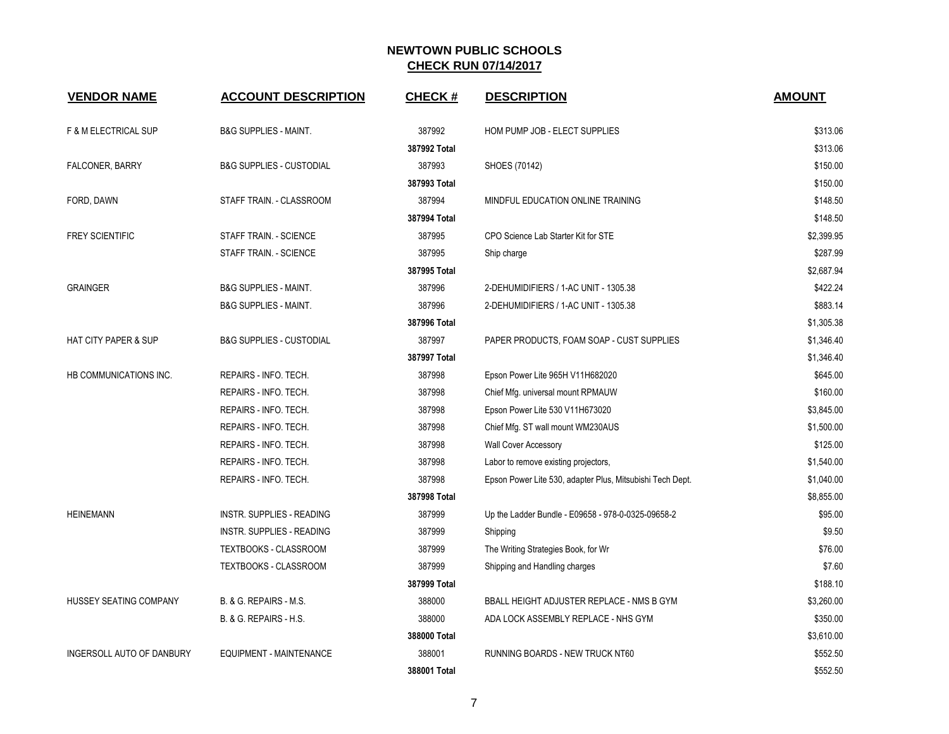| <b>VENDOR NAME</b>              | <b>ACCOUNT DESCRIPTION</b>          | <b>CHECK#</b> | <b>DESCRIPTION</b>                                        | <b>AMOUNT</b> |
|---------------------------------|-------------------------------------|---------------|-----------------------------------------------------------|---------------|
| <b>F &amp; M ELECTRICAL SUP</b> | <b>B&amp;G SUPPLIES - MAINT.</b>    | 387992        | HOM PUMP JOB - ELECT SUPPLIES                             | \$313.06      |
|                                 |                                     | 387992 Total  |                                                           | \$313.06      |
| <b>FALCONER, BARRY</b>          | <b>B&amp;G SUPPLIES - CUSTODIAL</b> | 387993        | SHOES (70142)                                             | \$150.00      |
|                                 |                                     | 387993 Total  |                                                           | \$150.00      |
| FORD, DAWN                      | STAFF TRAIN. - CLASSROOM            | 387994        | MINDFUL EDUCATION ONLINE TRAINING                         | \$148.50      |
|                                 |                                     | 387994 Total  |                                                           | \$148.50      |
| <b>FREY SCIENTIFIC</b>          | STAFF TRAIN. - SCIENCE              | 387995        | CPO Science Lab Starter Kit for STE                       | \$2,399.95    |
|                                 | STAFF TRAIN. - SCIENCE              | 387995        | Ship charge                                               | \$287.99      |
|                                 |                                     | 387995 Total  |                                                           | \$2,687.94    |
| <b>GRAINGER</b>                 | <b>B&amp;G SUPPLIES - MAINT.</b>    | 387996        | 2-DEHUMIDIFIERS / 1-AC UNIT - 1305.38                     | \$422.24      |
|                                 | <b>B&amp;G SUPPLIES - MAINT.</b>    | 387996        | 2-DEHUMIDIFIERS / 1-AC UNIT - 1305.38                     | \$883.14      |
|                                 |                                     | 387996 Total  |                                                           | \$1,305.38    |
| <b>HAT CITY PAPER &amp; SUP</b> | <b>B&amp;G SUPPLIES - CUSTODIAL</b> | 387997        | PAPER PRODUCTS, FOAM SOAP - CUST SUPPLIES                 | \$1,346.40    |
|                                 |                                     | 387997 Total  |                                                           | \$1,346.40    |
| HB COMMUNICATIONS INC.          | REPAIRS - INFO. TECH.               | 387998        | Epson Power Lite 965H V11H682020                          | \$645.00      |
|                                 | REPAIRS - INFO. TECH.               | 387998        | Chief Mfg. universal mount RPMAUW                         | \$160.00      |
|                                 | REPAIRS - INFO. TECH.               | 387998        | Epson Power Lite 530 V11H673020                           | \$3,845.00    |
|                                 | REPAIRS - INFO. TECH.               | 387998        | Chief Mfg. ST wall mount WM230AUS                         | \$1,500.00    |
|                                 | REPAIRS - INFO. TECH.               | 387998        | <b>Wall Cover Accessory</b>                               | \$125.00      |
|                                 | REPAIRS - INFO. TECH.               | 387998        | Labor to remove existing projectors,                      | \$1,540.00    |
|                                 | REPAIRS - INFO. TECH.               | 387998        | Epson Power Lite 530, adapter Plus, Mitsubishi Tech Dept. | \$1,040.00    |
|                                 |                                     | 387998 Total  |                                                           | \$8,855.00    |
| <b>HEINEMANN</b>                | <b>INSTR. SUPPLIES - READING</b>    | 387999        | Up the Ladder Bundle - E09658 - 978-0-0325-09658-2        | \$95.00       |
|                                 | <b>INSTR. SUPPLIES - READING</b>    | 387999        | Shipping                                                  | \$9.50        |
|                                 | TEXTBOOKS - CLASSROOM               | 387999        | The Writing Strategies Book, for Wr                       | \$76.00       |
|                                 | TEXTBOOKS - CLASSROOM               | 387999        | Shipping and Handling charges                             | \$7.60        |
|                                 |                                     | 387999 Total  |                                                           | \$188.10      |
| HUSSEY SEATING COMPANY          | B. & G. REPAIRS - M.S.              | 388000        | BBALL HEIGHT ADJUSTER REPLACE - NMS B GYM                 | \$3,260.00    |
|                                 | B. & G. REPAIRS - H.S.              | 388000        | ADA LOCK ASSEMBLY REPLACE - NHS GYM                       | \$350.00      |
|                                 |                                     | 388000 Total  |                                                           | \$3,610.00    |
| INGERSOLL AUTO OF DANBURY       | EQUIPMENT - MAINTENANCE             | 388001        | RUNNING BOARDS - NEW TRUCK NT60                           | \$552.50      |
|                                 |                                     | 388001 Total  |                                                           | \$552.50      |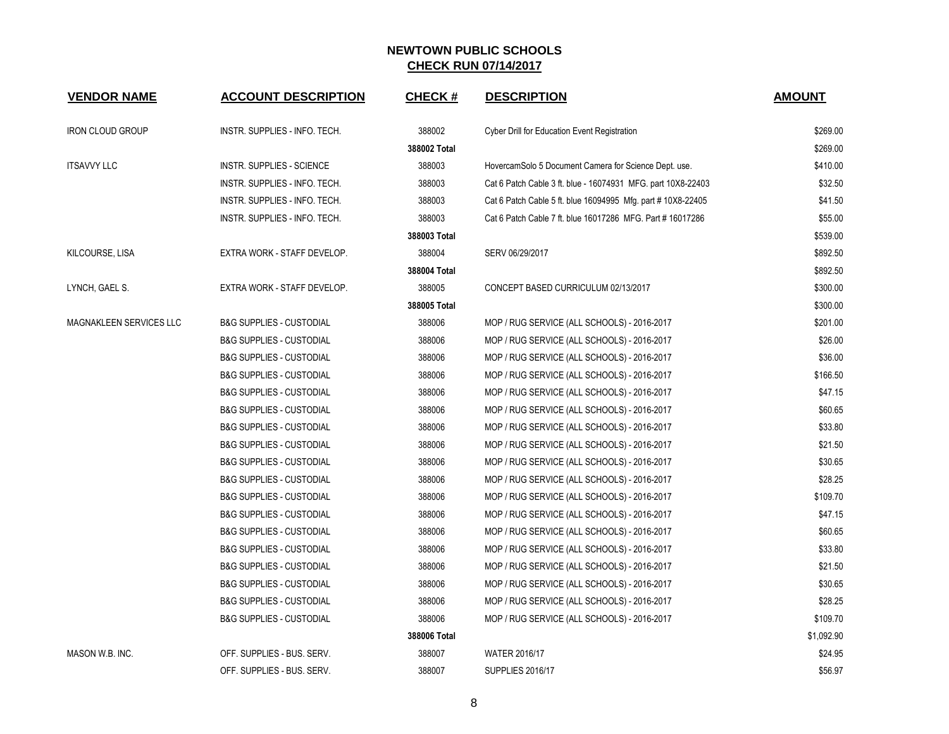| <b>VENDOR NAME</b>      | <b>ACCOUNT DESCRIPTION</b>          | <b>CHECK#</b> | <b>DESCRIPTION</b>                                           | <b>AMOUNT</b> |
|-------------------------|-------------------------------------|---------------|--------------------------------------------------------------|---------------|
| <b>IRON CLOUD GROUP</b> | INSTR. SUPPLIES - INFO. TECH.       | 388002        | Cyber Drill for Education Event Registration                 | \$269.00      |
|                         |                                     | 388002 Total  |                                                              | \$269.00      |
| <b>ITSAVVY LLC</b>      | <b>INSTR. SUPPLIES - SCIENCE</b>    | 388003        | HovercamSolo 5 Document Camera for Science Dept. use.        | \$410.00      |
|                         | INSTR. SUPPLIES - INFO. TECH.       | 388003        | Cat 6 Patch Cable 3 ft. blue - 16074931 MFG. part 10X8-22403 | \$32.50       |
|                         | INSTR. SUPPLIES - INFO. TECH.       | 388003        | Cat 6 Patch Cable 5 ft. blue 16094995 Mfg. part #10X8-22405  | \$41.50       |
|                         | INSTR. SUPPLIES - INFO. TECH.       | 388003        | Cat 6 Patch Cable 7 ft. blue 16017286 MFG. Part # 16017286   | \$55.00       |
|                         |                                     | 388003 Total  |                                                              | \$539.00      |
| KILCOURSE, LISA         | EXTRA WORK - STAFF DEVELOP.         | 388004        | SERV 06/29/2017                                              | \$892.50      |
|                         |                                     | 388004 Total  |                                                              | \$892.50      |
| LYNCH, GAEL S.          | EXTRA WORK - STAFF DEVELOP.         | 388005        | CONCEPT BASED CURRICULUM 02/13/2017                          | \$300.00      |
|                         |                                     | 388005 Total  |                                                              | \$300.00      |
| MAGNAKLEEN SERVICES LLC | <b>B&amp;G SUPPLIES - CUSTODIAL</b> | 388006        | MOP / RUG SERVICE (ALL SCHOOLS) - 2016-2017                  | \$201.00      |
|                         | <b>B&amp;G SUPPLIES - CUSTODIAL</b> | 388006        | MOP / RUG SERVICE (ALL SCHOOLS) - 2016-2017                  | \$26.00       |
|                         | <b>B&amp;G SUPPLIES - CUSTODIAL</b> | 388006        | MOP / RUG SERVICE (ALL SCHOOLS) - 2016-2017                  | \$36.00       |
|                         | <b>B&amp;G SUPPLIES - CUSTODIAL</b> | 388006        | MOP / RUG SERVICE (ALL SCHOOLS) - 2016-2017                  | \$166.50      |
|                         | <b>B&amp;G SUPPLIES - CUSTODIAL</b> | 388006        | MOP / RUG SERVICE (ALL SCHOOLS) - 2016-2017                  | \$47.15       |
|                         | <b>B&amp;G SUPPLIES - CUSTODIAL</b> | 388006        | MOP / RUG SERVICE (ALL SCHOOLS) - 2016-2017                  | \$60.65       |
|                         | <b>B&amp;G SUPPLIES - CUSTODIAL</b> | 388006        | MOP / RUG SERVICE (ALL SCHOOLS) - 2016-2017                  | \$33.80       |
|                         | <b>B&amp;G SUPPLIES - CUSTODIAL</b> | 388006        | MOP / RUG SERVICE (ALL SCHOOLS) - 2016-2017                  | \$21.50       |
|                         | <b>B&amp;G SUPPLIES - CUSTODIAL</b> | 388006        | MOP / RUG SERVICE (ALL SCHOOLS) - 2016-2017                  | \$30.65       |
|                         | <b>B&amp;G SUPPLIES - CUSTODIAL</b> | 388006        | MOP / RUG SERVICE (ALL SCHOOLS) - 2016-2017                  | \$28.25       |
|                         | <b>B&amp;G SUPPLIES - CUSTODIAL</b> | 388006        | MOP / RUG SERVICE (ALL SCHOOLS) - 2016-2017                  | \$109.70      |
|                         | <b>B&amp;G SUPPLIES - CUSTODIAL</b> | 388006        | MOP / RUG SERVICE (ALL SCHOOLS) - 2016-2017                  | \$47.15       |
|                         | <b>B&amp;G SUPPLIES - CUSTODIAL</b> | 388006        | MOP / RUG SERVICE (ALL SCHOOLS) - 2016-2017                  | \$60.65       |
|                         | <b>B&amp;G SUPPLIES - CUSTODIAL</b> | 388006        | MOP / RUG SERVICE (ALL SCHOOLS) - 2016-2017                  | \$33.80       |
|                         | <b>B&amp;G SUPPLIES - CUSTODIAL</b> | 388006        | MOP / RUG SERVICE (ALL SCHOOLS) - 2016-2017                  | \$21.50       |
|                         | <b>B&amp;G SUPPLIES - CUSTODIAL</b> | 388006        | MOP / RUG SERVICE (ALL SCHOOLS) - 2016-2017                  | \$30.65       |
|                         | <b>B&amp;G SUPPLIES - CUSTODIAL</b> | 388006        | MOP / RUG SERVICE (ALL SCHOOLS) - 2016-2017                  | \$28.25       |
|                         | <b>B&amp;G SUPPLIES - CUSTODIAL</b> | 388006        | MOP / RUG SERVICE (ALL SCHOOLS) - 2016-2017                  | \$109.70      |
|                         |                                     | 388006 Total  |                                                              | \$1,092.90    |
| MASON W.B. INC.         | OFF. SUPPLIES - BUS. SERV.          | 388007        | <b>WATER 2016/17</b>                                         | \$24.95       |
|                         | OFF. SUPPLIES - BUS. SERV.          | 388007        | <b>SUPPLIES 2016/17</b>                                      | \$56.97       |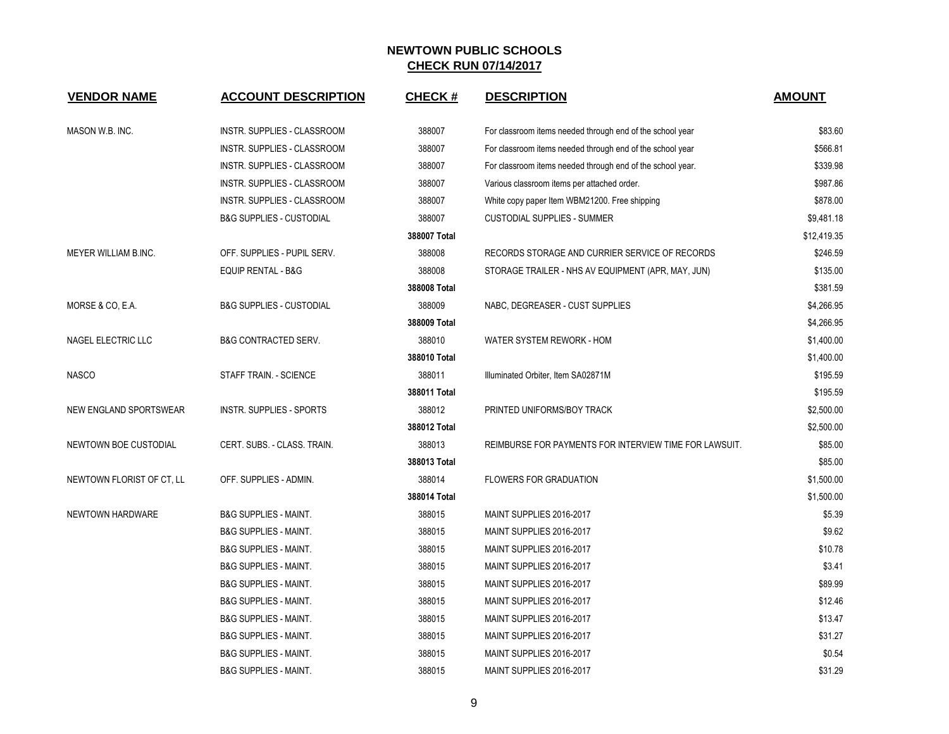| <b>VENDOR NAME</b>        | <b>ACCOUNT DESCRIPTION</b>          | <b>CHECK#</b> | <b>DESCRIPTION</b>                                         | <b>AMOUNT</b> |
|---------------------------|-------------------------------------|---------------|------------------------------------------------------------|---------------|
| MASON W.B. INC.           | INSTR. SUPPLIES - CLASSROOM         | 388007        | For classroom items needed through end of the school year  | \$83.60       |
|                           | INSTR. SUPPLIES - CLASSROOM         | 388007        | For classroom items needed through end of the school year  | \$566.81      |
|                           | INSTR. SUPPLIES - CLASSROOM         | 388007        | For classroom items needed through end of the school year. | \$339.98      |
|                           | INSTR. SUPPLIES - CLASSROOM         | 388007        | Various classroom items per attached order.                | \$987.86      |
|                           | INSTR. SUPPLIES - CLASSROOM         | 388007        | White copy paper Item WBM21200. Free shipping              | \$878.00      |
|                           | <b>B&amp;G SUPPLIES - CUSTODIAL</b> | 388007        | <b>CUSTODIAL SUPPLIES - SUMMER</b>                         | \$9,481.18    |
|                           |                                     | 388007 Total  |                                                            | \$12,419.35   |
| MEYER WILLIAM B.INC.      | OFF. SUPPLIES - PUPIL SERV.         | 388008        | RECORDS STORAGE AND CURRIER SERVICE OF RECORDS             | \$246.59      |
|                           | <b>EQUIP RENTAL - B&amp;G</b>       | 388008        | STORAGE TRAILER - NHS AV EQUIPMENT (APR, MAY, JUN)         | \$135.00      |
|                           |                                     | 388008 Total  |                                                            | \$381.59      |
| MORSE & CO, E.A.          | <b>B&amp;G SUPPLIES - CUSTODIAL</b> | 388009        | NABC, DEGREASER - CUST SUPPLIES                            | \$4,266.95    |
|                           |                                     | 388009 Total  |                                                            | \$4,266.95    |
| NAGEL ELECTRIC LLC        | <b>B&amp;G CONTRACTED SERV.</b>     | 388010        | WATER SYSTEM REWORK - HOM                                  | \$1,400.00    |
|                           |                                     | 388010 Total  |                                                            | \$1,400.00    |
| <b>NASCO</b>              | STAFF TRAIN. - SCIENCE              | 388011        | Illuminated Orbiter, Item SA02871M                         | \$195.59      |
|                           |                                     | 388011 Total  |                                                            | \$195.59      |
| NEW ENGLAND SPORTSWEAR    | <b>INSTR. SUPPLIES - SPORTS</b>     | 388012        | PRINTED UNIFORMS/BOY TRACK                                 | \$2,500.00    |
|                           |                                     | 388012 Total  |                                                            | \$2,500.00    |
| NEWTOWN BOE CUSTODIAL     | CERT. SUBS. - CLASS. TRAIN.         | 388013        | REIMBURSE FOR PAYMENTS FOR INTERVIEW TIME FOR LAWSUIT.     | \$85.00       |
|                           |                                     | 388013 Total  |                                                            | \$85.00       |
| NEWTOWN FLORIST OF CT, LL | OFF. SUPPLIES - ADMIN.              | 388014        | <b>FLOWERS FOR GRADUATION</b>                              | \$1,500.00    |
|                           |                                     | 388014 Total  |                                                            | \$1,500.00    |
| NEWTOWN HARDWARE          | <b>B&amp;G SUPPLIES - MAINT.</b>    | 388015        | MAINT SUPPLIES 2016-2017                                   | \$5.39        |
|                           | <b>B&amp;G SUPPLIES - MAINT.</b>    | 388015        | MAINT SUPPLIES 2016-2017                                   | \$9.62        |
|                           | <b>B&amp;G SUPPLIES - MAINT.</b>    | 388015        | MAINT SUPPLIES 2016-2017                                   | \$10.78       |
|                           | <b>B&amp;G SUPPLIES - MAINT.</b>    | 388015        | MAINT SUPPLIES 2016-2017                                   | \$3.41        |
|                           | <b>B&amp;G SUPPLIES - MAINT.</b>    | 388015        | MAINT SUPPLIES 2016-2017                                   | \$89.99       |
|                           | <b>B&amp;G SUPPLIES - MAINT.</b>    | 388015        | MAINT SUPPLIES 2016-2017                                   | \$12.46       |
|                           | <b>B&amp;G SUPPLIES - MAINT.</b>    | 388015        | MAINT SUPPLIES 2016-2017                                   | \$13.47       |
|                           | <b>B&amp;G SUPPLIES - MAINT.</b>    | 388015        | MAINT SUPPLIES 2016-2017                                   | \$31.27       |
|                           | <b>B&amp;G SUPPLIES - MAINT.</b>    | 388015        | MAINT SUPPLIES 2016-2017                                   | \$0.54        |
|                           | <b>B&amp;G SUPPLIES - MAINT.</b>    | 388015        | MAINT SUPPLIES 2016-2017                                   | \$31.29       |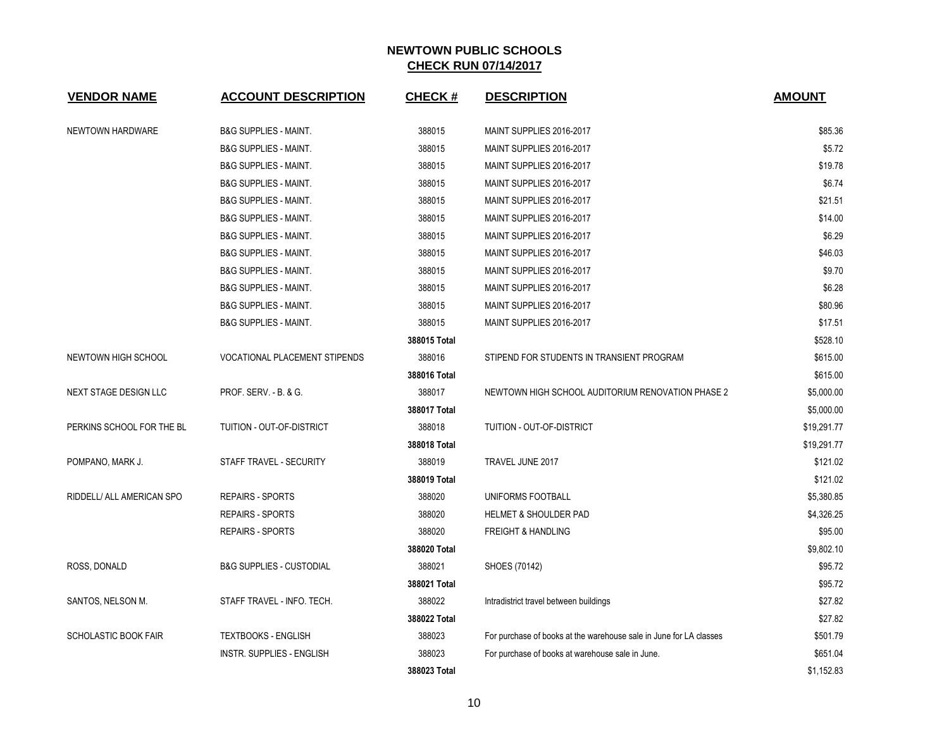| <b>VENDOR NAME</b>           | <b>ACCOUNT DESCRIPTION</b>           | <b>CHECK#</b> | <b>DESCRIPTION</b>                                                 | <b>AMOUNT</b> |
|------------------------------|--------------------------------------|---------------|--------------------------------------------------------------------|---------------|
| NEWTOWN HARDWARE             | <b>B&amp;G SUPPLIES - MAINT.</b>     | 388015        | MAINT SUPPLIES 2016-2017                                           | \$85.36       |
|                              | <b>B&amp;G SUPPLIES - MAINT.</b>     | 388015        | MAINT SUPPLIES 2016-2017                                           | \$5.72        |
|                              | <b>B&amp;G SUPPLIES - MAINT.</b>     | 388015        | MAINT SUPPLIES 2016-2017                                           | \$19.78       |
|                              | <b>B&amp;G SUPPLIES - MAINT.</b>     | 388015        | MAINT SUPPLIES 2016-2017                                           | \$6.74        |
|                              | <b>B&amp;G SUPPLIES - MAINT.</b>     | 388015        | MAINT SUPPLIES 2016-2017                                           | \$21.51       |
|                              | <b>B&amp;G SUPPLIES - MAINT.</b>     | 388015        | MAINT SUPPLIES 2016-2017                                           | \$14.00       |
|                              | <b>B&amp;G SUPPLIES - MAINT.</b>     | 388015        | MAINT SUPPLIES 2016-2017                                           | \$6.29        |
|                              | <b>B&amp;G SUPPLIES - MAINT.</b>     | 388015        | MAINT SUPPLIES 2016-2017                                           | \$46.03       |
|                              | <b>B&amp;G SUPPLIES - MAINT.</b>     | 388015        | MAINT SUPPLIES 2016-2017                                           | \$9.70        |
|                              | <b>B&amp;G SUPPLIES - MAINT.</b>     | 388015        | MAINT SUPPLIES 2016-2017                                           | \$6.28        |
|                              | <b>B&amp;G SUPPLIES - MAINT.</b>     | 388015        | MAINT SUPPLIES 2016-2017                                           | \$80.96       |
|                              | <b>B&amp;G SUPPLIES - MAINT.</b>     | 388015        | MAINT SUPPLIES 2016-2017                                           | \$17.51       |
|                              |                                      | 388015 Total  |                                                                    | \$528.10      |
| NEWTOWN HIGH SCHOOL          | <b>VOCATIONAL PLACEMENT STIPENDS</b> | 388016        | STIPEND FOR STUDENTS IN TRANSIENT PROGRAM                          | \$615.00      |
|                              |                                      | 388016 Total  |                                                                    | \$615.00      |
| <b>NEXT STAGE DESIGN LLC</b> | PROF. SERV. - B. & G.                | 388017        | NEWTOWN HIGH SCHOOL AUDITORIUM RENOVATION PHASE 2                  | \$5,000.00    |
|                              |                                      | 388017 Total  |                                                                    | \$5,000.00    |
| PERKINS SCHOOL FOR THE BL    | TUITION - OUT-OF-DISTRICT            | 388018        | TUITION - OUT-OF-DISTRICT                                          | \$19,291.77   |
|                              |                                      | 388018 Total  |                                                                    | \$19,291.77   |
| POMPANO, MARK J.             | STAFF TRAVEL - SECURITY              | 388019        | TRAVEL JUNE 2017                                                   | \$121.02      |
|                              |                                      | 388019 Total  |                                                                    | \$121.02      |
| RIDDELL/ ALL AMERICAN SPO    | <b>REPAIRS - SPORTS</b>              | 388020        | UNIFORMS FOOTBALL                                                  | \$5,380.85    |
|                              | <b>REPAIRS - SPORTS</b>              | 388020        | HELMET & SHOULDER PAD                                              | \$4,326.25    |
|                              | <b>REPAIRS - SPORTS</b>              | 388020        | <b>FREIGHT &amp; HANDLING</b>                                      | \$95.00       |
|                              |                                      | 388020 Total  |                                                                    | \$9,802.10    |
| ROSS, DONALD                 | <b>B&amp;G SUPPLIES - CUSTODIAL</b>  | 388021        | SHOES (70142)                                                      | \$95.72       |
|                              |                                      | 388021 Total  |                                                                    | \$95.72       |
| SANTOS, NELSON M.            | STAFF TRAVEL - INFO. TECH.           | 388022        | Intradistrict travel between buildings                             | \$27.82       |
|                              |                                      | 388022 Total  |                                                                    | \$27.82       |
| SCHOLASTIC BOOK FAIR         | <b>TEXTBOOKS - ENGLISH</b>           | 388023        | For purchase of books at the warehouse sale in June for LA classes | \$501.79      |
|                              | INSTR. SUPPLIES - ENGLISH            | 388023        | For purchase of books at warehouse sale in June.                   | \$651.04      |
|                              |                                      | 388023 Total  |                                                                    | \$1,152.83    |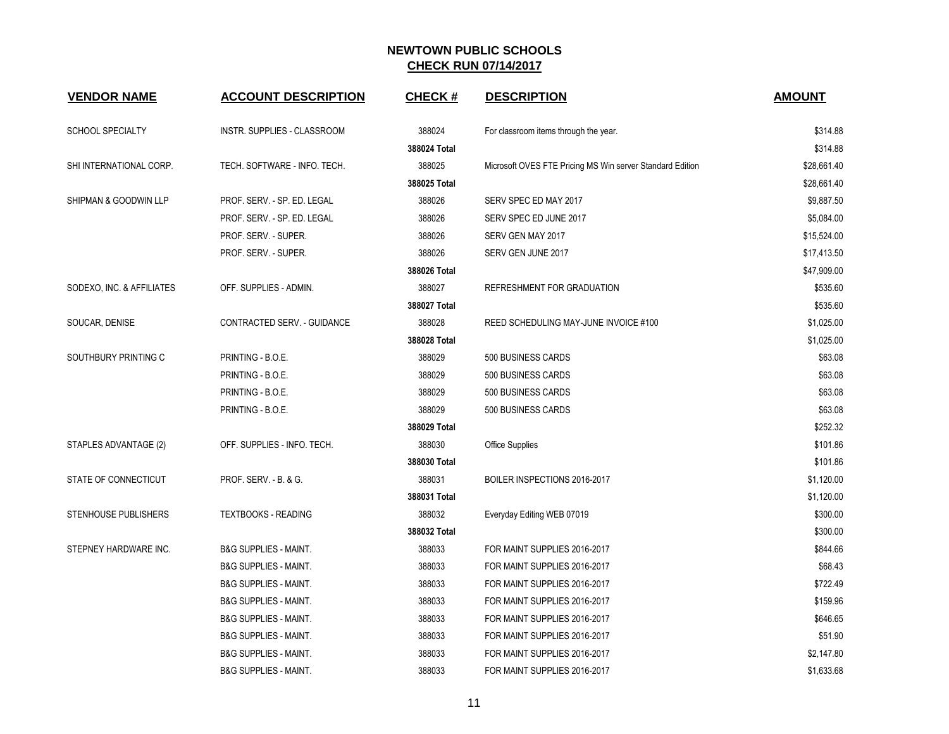| <b>VENDOR NAME</b>        | <b>ACCOUNT DESCRIPTION</b>       | <b>CHECK#</b> | <b>DESCRIPTION</b>                                        | <b>AMOUNT</b> |
|---------------------------|----------------------------------|---------------|-----------------------------------------------------------|---------------|
| SCHOOL SPECIALTY          | INSTR. SUPPLIES - CLASSROOM      | 388024        | For classroom items through the year.                     | \$314.88      |
|                           |                                  | 388024 Total  |                                                           | \$314.88      |
| SHI INTERNATIONAL CORP.   | TECH. SOFTWARE - INFO. TECH.     | 388025        | Microsoft OVES FTE Pricing MS Win server Standard Edition | \$28,661.40   |
|                           |                                  | 388025 Total  |                                                           | \$28,661.40   |
| SHIPMAN & GOODWIN LLP     | PROF. SERV. - SP. ED. LEGAL      | 388026        | SERV SPEC ED MAY 2017                                     | \$9,887.50    |
|                           | PROF. SERV. - SP. ED. LEGAL      | 388026        | SERV SPEC ED JUNE 2017                                    | \$5,084.00    |
|                           | PROF. SERV. - SUPER.             | 388026        | SERV GEN MAY 2017                                         | \$15,524.00   |
|                           | PROF. SERV. - SUPER.             | 388026        | SERV GEN JUNE 2017                                        | \$17,413.50   |
|                           |                                  | 388026 Total  |                                                           | \$47,909.00   |
| SODEXO, INC. & AFFILIATES | OFF. SUPPLIES - ADMIN.           | 388027        | REFRESHMENT FOR GRADUATION                                | \$535.60      |
|                           |                                  | 388027 Total  |                                                           | \$535.60      |
| SOUCAR, DENISE            | CONTRACTED SERV. - GUIDANCE      | 388028        | REED SCHEDULING MAY-JUNE INVOICE #100                     | \$1,025.00    |
|                           |                                  | 388028 Total  |                                                           | \$1,025.00    |
| SOUTHBURY PRINTING C      | PRINTING - B.O.E.                | 388029        | 500 BUSINESS CARDS                                        | \$63.08       |
|                           | PRINTING - B.O.E.                | 388029        | 500 BUSINESS CARDS                                        | \$63.08       |
|                           | PRINTING - B.O.E.                | 388029        | 500 BUSINESS CARDS                                        | \$63.08       |
|                           | PRINTING - B.O.E.                | 388029        | 500 BUSINESS CARDS                                        | \$63.08       |
|                           |                                  | 388029 Total  |                                                           | \$252.32      |
| STAPLES ADVANTAGE (2)     | OFF. SUPPLIES - INFO. TECH.      | 388030        | <b>Office Supplies</b>                                    | \$101.86      |
|                           |                                  | 388030 Total  |                                                           | \$101.86      |
| STATE OF CONNECTICUT      | PROF. SERV. - B. & G.            | 388031        | BOILER INSPECTIONS 2016-2017                              | \$1,120.00    |
|                           |                                  | 388031 Total  |                                                           | \$1,120.00    |
| STENHOUSE PUBLISHERS      | <b>TEXTBOOKS - READING</b>       | 388032        | Everyday Editing WEB 07019                                | \$300.00      |
|                           |                                  | 388032 Total  |                                                           | \$300.00      |
| STEPNEY HARDWARE INC.     | <b>B&amp;G SUPPLIES - MAINT.</b> | 388033        | FOR MAINT SUPPLIES 2016-2017                              | \$844.66      |
|                           | <b>B&amp;G SUPPLIES - MAINT.</b> | 388033        | FOR MAINT SUPPLIES 2016-2017                              | \$68.43       |
|                           | <b>B&amp;G SUPPLIES - MAINT.</b> | 388033        | FOR MAINT SUPPLIES 2016-2017                              | \$722.49      |
|                           | <b>B&amp;G SUPPLIES - MAINT.</b> | 388033        | FOR MAINT SUPPLIES 2016-2017                              | \$159.96      |
|                           | <b>B&amp;G SUPPLIES - MAINT.</b> | 388033        | FOR MAINT SUPPLIES 2016-2017                              | \$646.65      |
|                           | <b>B&amp;G SUPPLIES - MAINT.</b> | 388033        | FOR MAINT SUPPLIES 2016-2017                              | \$51.90       |
|                           | B&G SUPPLIES - MAINT.            | 388033        | FOR MAINT SUPPLIES 2016-2017                              | \$2,147.80    |
|                           | <b>B&amp;G SUPPLIES - MAINT.</b> | 388033        | FOR MAINT SUPPLIES 2016-2017                              | \$1,633.68    |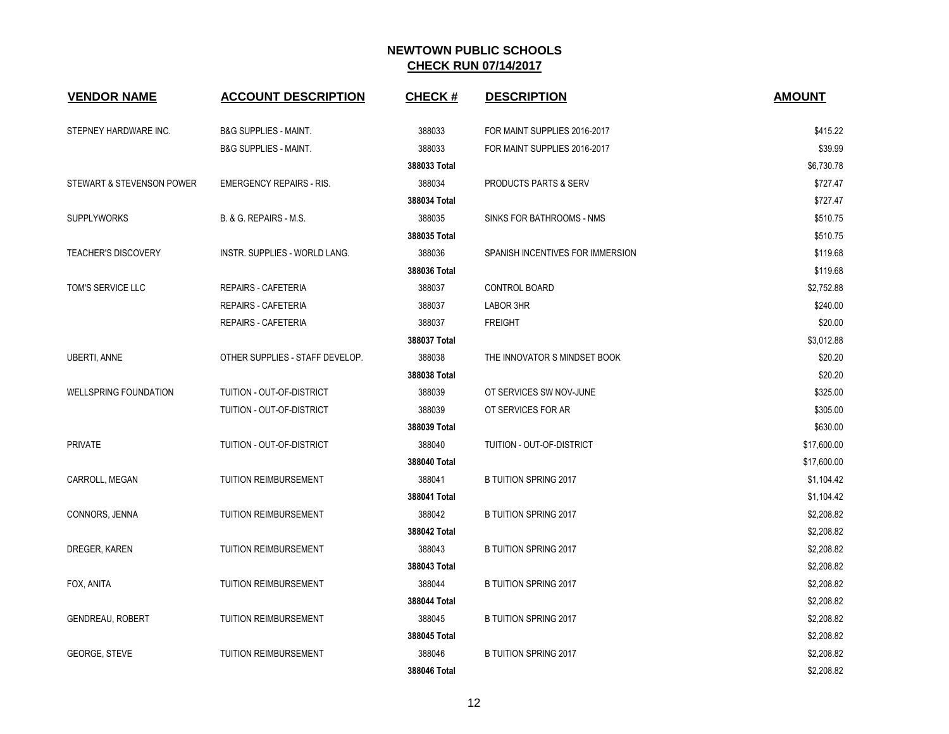| <b>VENDOR NAME</b>           | <b>ACCOUNT DESCRIPTION</b>       | <b>CHECK#</b> | <b>DESCRIPTION</b>               | <b>AMOUNT</b> |
|------------------------------|----------------------------------|---------------|----------------------------------|---------------|
| STEPNEY HARDWARE INC.        | <b>B&amp;G SUPPLIES - MAINT.</b> | 388033        | FOR MAINT SUPPLIES 2016-2017     | \$415.22      |
|                              | <b>B&amp;G SUPPLIES - MAINT.</b> | 388033        | FOR MAINT SUPPLIES 2016-2017     | \$39.99       |
|                              |                                  | 388033 Total  |                                  | \$6,730.78    |
| STEWART & STEVENSON POWER    | <b>EMERGENCY REPAIRS - RIS.</b>  | 388034        | <b>PRODUCTS PARTS &amp; SERV</b> | \$727.47      |
|                              |                                  | 388034 Total  |                                  | \$727.47      |
| <b>SUPPLYWORKS</b>           | B. & G. REPAIRS - M.S.           | 388035        | SINKS FOR BATHROOMS - NMS        | \$510.75      |
|                              |                                  | 388035 Total  |                                  | \$510.75      |
| <b>TEACHER'S DISCOVERY</b>   | INSTR. SUPPLIES - WORLD LANG.    | 388036        | SPANISH INCENTIVES FOR IMMERSION | \$119.68      |
|                              |                                  | 388036 Total  |                                  | \$119.68      |
| TOM'S SERVICE LLC            | <b>REPAIRS - CAFETERIA</b>       | 388037        | CONTROL BOARD                    | \$2,752.88    |
|                              | <b>REPAIRS - CAFETERIA</b>       | 388037        | LABOR 3HR                        | \$240.00      |
|                              | REPAIRS - CAFETERIA              | 388037        | <b>FREIGHT</b>                   | \$20.00       |
|                              |                                  | 388037 Total  |                                  | \$3,012.88    |
| <b>UBERTI, ANNE</b>          | OTHER SUPPLIES - STAFF DEVELOP.  | 388038        | THE INNOVATOR S MINDSET BOOK     | \$20.20       |
|                              |                                  | 388038 Total  |                                  | \$20.20       |
| <b>WELLSPRING FOUNDATION</b> | TUITION - OUT-OF-DISTRICT        | 388039        | OT SERVICES SW NOV-JUNE          | \$325.00      |
|                              | TUITION - OUT-OF-DISTRICT        | 388039        | OT SERVICES FOR AR               | \$305.00      |
|                              |                                  | 388039 Total  |                                  | \$630.00      |
| <b>PRIVATE</b>               | TUITION - OUT-OF-DISTRICT        | 388040        | TUITION - OUT-OF-DISTRICT        | \$17,600.00   |
|                              |                                  | 388040 Total  |                                  | \$17,600.00   |
| CARROLL, MEGAN               | <b>TUITION REIMBURSEMENT</b>     | 388041        | <b>B TUITION SPRING 2017</b>     | \$1,104.42    |
|                              |                                  | 388041 Total  |                                  | \$1,104.42    |
| CONNORS, JENNA               | <b>TUITION REIMBURSEMENT</b>     | 388042        | <b>B TUITION SPRING 2017</b>     | \$2,208.82    |
|                              |                                  | 388042 Total  |                                  | \$2,208.82    |
| DREGER, KAREN                | TUITION REIMBURSEMENT            | 388043        | <b>B TUITION SPRING 2017</b>     | \$2,208.82    |
|                              |                                  | 388043 Total  |                                  | \$2,208.82    |
| FOX, ANITA                   | <b>TUITION REIMBURSEMENT</b>     | 388044        | <b>B TUITION SPRING 2017</b>     | \$2,208.82    |
|                              |                                  | 388044 Total  |                                  | \$2,208.82    |
| <b>GENDREAU, ROBERT</b>      | TUITION REIMBURSEMENT            | 388045        | <b>B TUITION SPRING 2017</b>     | \$2,208.82    |
|                              |                                  | 388045 Total  |                                  | \$2,208.82    |
| <b>GEORGE, STEVE</b>         | TUITION REIMBURSEMENT            | 388046        | <b>B TUITION SPRING 2017</b>     | \$2,208.82    |
|                              |                                  | 388046 Total  |                                  | \$2,208.82    |